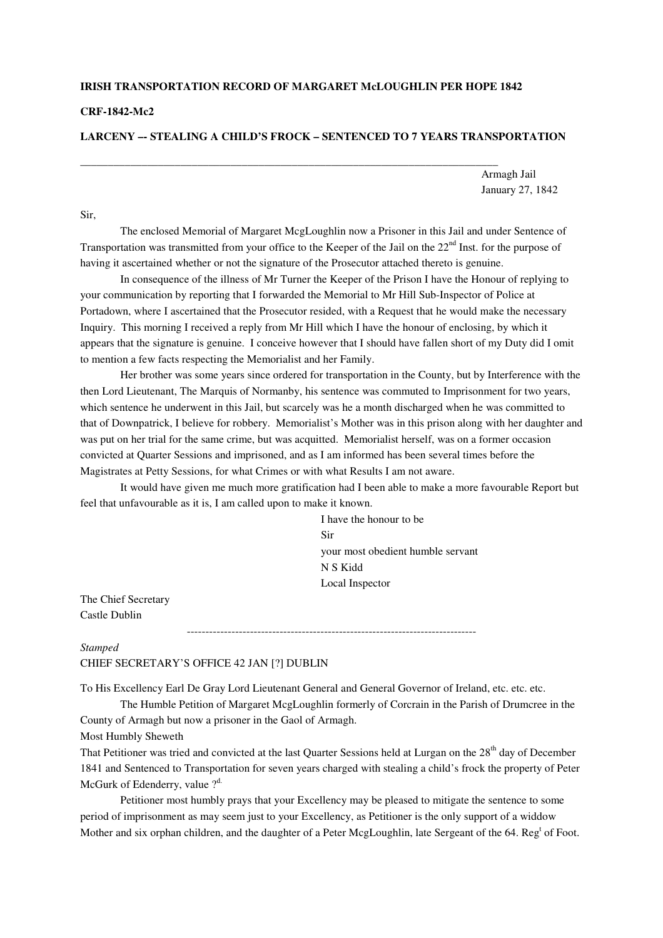## **IRISH TRANSPORTATION RECORD OF MARGARET McLOUGHLIN PER HOPE 1842**

\_\_\_\_\_\_\_\_\_\_\_\_\_\_\_\_\_\_\_\_\_\_\_\_\_\_\_\_\_\_\_\_\_\_\_\_\_\_\_\_\_\_\_\_\_\_\_\_\_\_\_\_\_\_\_\_\_\_\_\_\_\_\_\_\_\_\_\_\_\_\_\_\_\_\_

## **CRF-1842-Mc2**

## **LARCENY –- STEALING A CHILD'S FROCK – SENTENCED TO 7 YEARS TRANSPORTATION**

Armagh Jail January 27, 1842

Sir,

 The enclosed Memorial of Margaret McgLoughlin now a Prisoner in this Jail and under Sentence of Transportation was transmitted from your office to the Keeper of the Jail on the 22<sup>nd</sup> Inst. for the purpose of having it ascertained whether or not the signature of the Prosecutor attached thereto is genuine.

 In consequence of the illness of Mr Turner the Keeper of the Prison I have the Honour of replying to your communication by reporting that I forwarded the Memorial to Mr Hill Sub-Inspector of Police at Portadown, where I ascertained that the Prosecutor resided, with a Request that he would make the necessary Inquiry. This morning I received a reply from Mr Hill which I have the honour of enclosing, by which it appears that the signature is genuine. I conceive however that I should have fallen short of my Duty did I omit to mention a few facts respecting the Memorialist and her Family.

 Her brother was some years since ordered for transportation in the County, but by Interference with the then Lord Lieutenant, The Marquis of Normanby, his sentence was commuted to Imprisonment for two years, which sentence he underwent in this Jail, but scarcely was he a month discharged when he was committed to that of Downpatrick, I believe for robbery. Memorialist's Mother was in this prison along with her daughter and was put on her trial for the same crime, but was acquitted. Memorialist herself, was on a former occasion convicted at Quarter Sessions and imprisoned, and as I am informed has been several times before the Magistrates at Petty Sessions, for what Crimes or with what Results I am not aware.

 It would have given me much more gratification had I been able to make a more favourable Report but feel that unfavourable as it is, I am called upon to make it known.

> I have the honour to be Sir your most obedient humble servant N S Kidd Local Inspector

The Chief Secretary Castle Dublin

------------------------------------------------------------------------------

*Stamped* CHIEF SECRETARY'S OFFICE 42 JAN [?] DUBLIN

To His Excellency Earl De Gray Lord Lieutenant General and General Governor of Ireland, etc. etc. etc.

 The Humble Petition of Margaret McgLoughlin formerly of Corcrain in the Parish of Drumcree in the County of Armagh but now a prisoner in the Gaol of Armagh.

Most Humbly Sheweth

That Petitioner was tried and convicted at the last Quarter Sessions held at Lurgan on the 28<sup>th</sup> day of December 1841 and Sentenced to Transportation for seven years charged with stealing a child's frock the property of Peter McGurk of Edenderry, value ?<sup>d.</sup>

 Petitioner most humbly prays that your Excellency may be pleased to mitigate the sentence to some period of imprisonment as may seem just to your Excellency, as Petitioner is the only support of a widdow Mother and six orphan children, and the daughter of a Peter McgLoughlin, late Sergeant of the 64. Reg<sup>t</sup> of Foot.